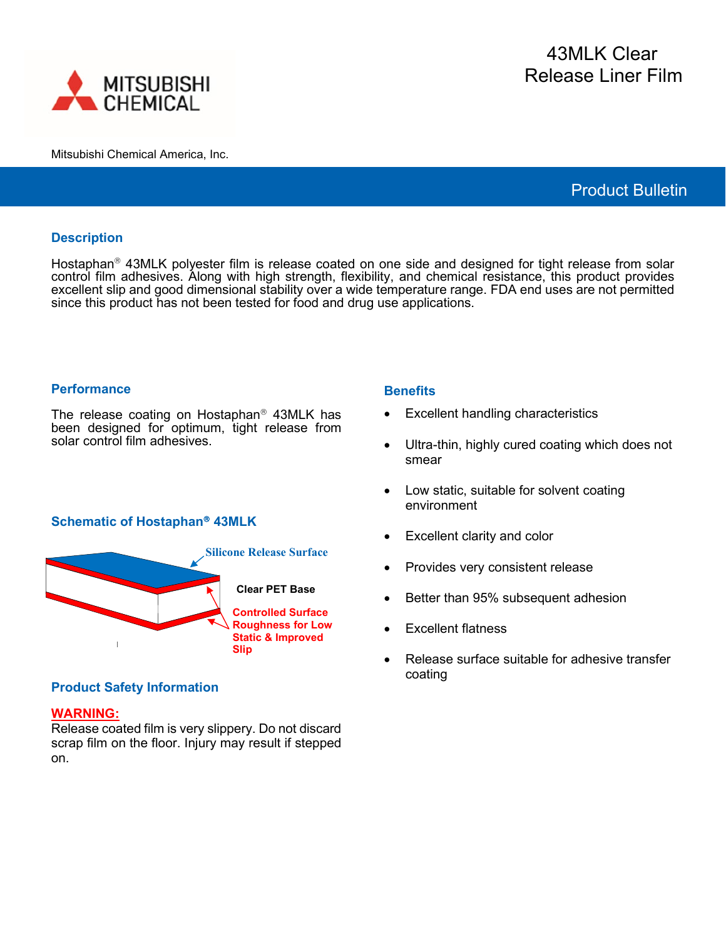

Mitsubishi Chemical America, Inc.

# Product Bulletin

### **Description**

Hostaphan<sup>®</sup> 43MLK polyester film is release coated on one side and designed for tight release from solar control film adhesives. Along with high strength, flexibility, and chemical resistance, this product provides excellent slip and good dimensional stability over a wide temperature range. FDA end uses are not permitted since this product has not been tested for food and drug use applications.

#### **Performance**

The release coating on Hostaphan $<sup>®</sup>$  43MLK has</sup> been designed for optimum, tight release from solar control film adhesives.

### **Schematic of Hostaphan 43MLK**



# **Product Safety Information**

### **WARNING:**

Release coated film is very slippery. Do not discard scrap film on the floor. Injury may result if stepped on.

#### **Benefits**

- **Excellent handling characteristics**
- Ultra-thin, highly cured coating which does not smear
- Low static, suitable for solvent coating environment
- Excellent clarity and color
- Provides very consistent release
- Better than 95% subsequent adhesion
- Excellent flatness
- Release surface suitable for adhesive transfer coating